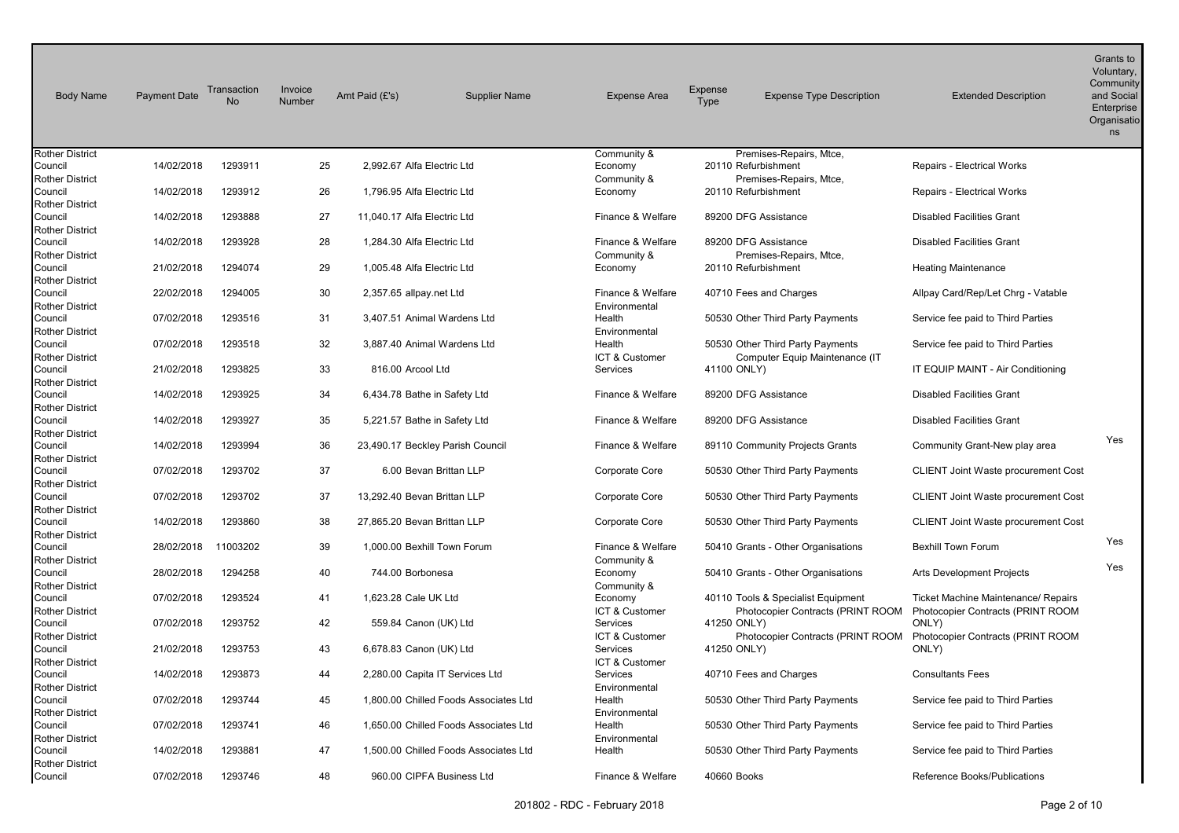| <b>Body Name</b>                  | <b>Payment Date</b> | Transaction<br><b>No</b> | Invoice<br>Number | Amt Paid (£'s)              | <b>Supplier Name</b>                  | <b>Expense Area</b>        | Expense<br><b>Type</b> | <b>Expense Type Description</b>    | <b>Extended Description</b>                | Grants to<br>Voluntary,<br>Community<br>and Social<br>Enterprise<br>Organisatio<br>ns |
|-----------------------------------|---------------------|--------------------------|-------------------|-----------------------------|---------------------------------------|----------------------------|------------------------|------------------------------------|--------------------------------------------|---------------------------------------------------------------------------------------|
| <b>Rother District</b>            |                     |                          |                   |                             |                                       | Community &                |                        | Premises-Repairs, Mtce,            |                                            |                                                                                       |
| Council                           | 14/02/2018          | 1293911                  | 25                | 2,992.67 Alfa Electric Ltd  |                                       | Economy                    |                        | 20110 Refurbishment                | <b>Repairs - Electrical Works</b>          |                                                                                       |
| <b>Rother District</b>            |                     |                          |                   |                             |                                       | Community &                |                        | Premises-Repairs, Mtce,            |                                            |                                                                                       |
| Council                           | 14/02/2018          | 1293912                  | 26                | 1,796.95 Alfa Electric Ltd  |                                       | Economy                    |                        | 20110 Refurbishment                | Repairs - Electrical Works                 |                                                                                       |
| <b>Rother District</b><br>Council | 14/02/2018          | 1293888                  | 27                | 11,040.17 Alfa Electric Ltd |                                       | Finance & Welfare          |                        | 89200 DFG Assistance               | <b>Disabled Facilities Grant</b>           |                                                                                       |
| <b>Rother District</b>            |                     |                          |                   |                             |                                       |                            |                        |                                    |                                            |                                                                                       |
| Council                           | 14/02/2018          | 1293928                  | 28                | 1,284.30 Alfa Electric Ltd  |                                       | Finance & Welfare          |                        | 89200 DFG Assistance               | <b>Disabled Facilities Grant</b>           |                                                                                       |
| <b>Rother District</b>            |                     |                          |                   |                             |                                       | Community &                |                        | Premises-Repairs, Mtce,            |                                            |                                                                                       |
| Council                           | 21/02/2018          | 1294074                  | 29                | 1,005.48 Alfa Electric Ltd  |                                       | Economy                    |                        | 20110 Refurbishment                | <b>Heating Maintenance</b>                 |                                                                                       |
| <b>Rother District</b>            |                     |                          |                   |                             |                                       |                            |                        |                                    |                                            |                                                                                       |
| Council                           | 22/02/2018          | 1294005                  | 30                | 2,357.65 allpay.net Ltd     |                                       | Finance & Welfare          |                        | 40710 Fees and Charges             | Allpay Card/Rep/Let Chrg - Vatable         |                                                                                       |
| <b>Rother District</b>            |                     |                          |                   |                             |                                       | Environmental              |                        |                                    |                                            |                                                                                       |
| Council                           | 07/02/2018          | 1293516                  | 31                |                             | 3,407.51 Animal Wardens Ltd           | Health                     |                        | 50530 Other Third Party Payments   | Service fee paid to Third Parties          |                                                                                       |
| <b>Rother District</b>            |                     |                          |                   |                             |                                       | Environmental              |                        |                                    |                                            |                                                                                       |
| Council                           | 07/02/2018          | 1293518                  | 32                |                             | 3,887.40 Animal Wardens Ltd           | Health                     |                        | 50530 Other Third Party Payments   | Service fee paid to Third Parties          |                                                                                       |
| <b>Rother District</b>            |                     |                          |                   |                             |                                       | ICT & Customer             |                        | Computer Equip Maintenance (IT     |                                            |                                                                                       |
| Council<br><b>Rother District</b> | 21/02/2018          | 1293825                  | 33                | 816.00 Arcool Ltd           |                                       | Services                   |                        | 41100 ONLY)                        | IT EQUIP MAINT - Air Conditioning          |                                                                                       |
| Council                           | 14/02/2018          | 1293925                  | 34                |                             | 6,434.78 Bathe in Safety Ltd          | Finance & Welfare          |                        | 89200 DFG Assistance               | <b>Disabled Facilities Grant</b>           |                                                                                       |
| <b>Rother District</b>            |                     |                          |                   |                             |                                       |                            |                        |                                    |                                            |                                                                                       |
| Council                           | 14/02/2018          | 1293927                  | 35                |                             | 5,221.57 Bathe in Safety Ltd          | Finance & Welfare          |                        | 89200 DFG Assistance               | <b>Disabled Facilities Grant</b>           |                                                                                       |
| <b>Rother District</b>            |                     |                          |                   |                             |                                       |                            |                        |                                    |                                            |                                                                                       |
| Council                           | 14/02/2018          | 1293994                  | 36                |                             | 23,490.17 Beckley Parish Council      | Finance & Welfare          |                        | 89110 Community Projects Grants    | Community Grant-New play area              | Yes                                                                                   |
| <b>Rother District</b>            |                     |                          |                   |                             |                                       |                            |                        |                                    |                                            |                                                                                       |
| Council                           | 07/02/2018          | 1293702                  | 37                |                             | 6.00 Bevan Brittan LLP                | Corporate Core             |                        | 50530 Other Third Party Payments   | <b>CLIENT Joint Waste procurement Cost</b> |                                                                                       |
| <b>Rother District</b>            |                     |                          |                   |                             |                                       |                            |                        |                                    |                                            |                                                                                       |
| Council                           | 07/02/2018          | 1293702                  | 37                |                             | 13.292.40 Bevan Brittan LLP           | Corporate Core             |                        | 50530 Other Third Party Payments   | CLIENT Joint Waste procurement Cost        |                                                                                       |
| <b>Rother District</b><br>Council | 14/02/2018          | 1293860                  | 38                |                             | 27,865.20 Bevan Brittan LLP           |                            |                        |                                    |                                            |                                                                                       |
| <b>Rother District</b>            |                     |                          |                   |                             |                                       | Corporate Core             |                        | 50530 Other Third Party Payments   | <b>CLIENT Joint Waste procurement Cost</b> |                                                                                       |
| Council                           | 28/02/2018          | 11003202                 | 39                |                             | 1.000.00 Bexhill Town Forum           | Finance & Welfare          |                        | 50410 Grants - Other Organisations | <b>Bexhill Town Forum</b>                  | Yes                                                                                   |
| <b>Rother District</b>            |                     |                          |                   |                             |                                       | Community &                |                        |                                    |                                            |                                                                                       |
| Council                           | 28/02/2018          | 1294258                  | 40                | 744.00 Borbonesa            |                                       | Economy                    |                        | 50410 Grants - Other Organisations | Arts Development Projects                  | Yes                                                                                   |
| <b>Rother District</b>            |                     |                          |                   |                             |                                       | Community &                |                        |                                    |                                            |                                                                                       |
| Council                           | 07/02/2018          | 1293524                  | 41                | 1,623.28 Cale UK Ltd        |                                       | Economy                    |                        | 40110 Tools & Specialist Equipment | <b>Ticket Machine Maintenance/ Repairs</b> |                                                                                       |
| <b>Rother District</b>            |                     |                          |                   |                             |                                       | ICT & Customer             |                        | Photocopier Contracts (PRINT ROOM  | Photocopier Contracts (PRINT ROOM          |                                                                                       |
| Council                           | 07/02/2018          | 1293752                  | 42                |                             | 559.84 Canon (UK) Ltd                 | Services                   |                        | 41250 ONLY)                        | ONLY)                                      |                                                                                       |
| <b>Rother District</b>            |                     |                          |                   |                             |                                       | ICT & Customer             |                        | Photocopier Contracts (PRINT ROOM  | Photocopier Contracts (PRINT ROOM          |                                                                                       |
| Council                           | 21/02/2018          | 1293753                  | 43                |                             | 6,678.83 Canon (UK) Ltd               | Services                   |                        | 41250 ONLY)                        | ONLY)                                      |                                                                                       |
| <b>Rother District</b><br>Council | 14/02/2018          | 1293873                  | 44                |                             | 2,280.00 Capita IT Services Ltd       | ICT & Customer<br>Services |                        | 40710 Fees and Charges             | <b>Consultants Fees</b>                    |                                                                                       |
| <b>Rother District</b>            |                     |                          |                   |                             |                                       | Environmental              |                        |                                    |                                            |                                                                                       |
| Council                           | 07/02/2018          | 1293744                  | 45                |                             | 1,800.00 Chilled Foods Associates Ltd | Health                     |                        | 50530 Other Third Party Payments   | Service fee paid to Third Parties          |                                                                                       |
| <b>Rother District</b>            |                     |                          |                   |                             |                                       | Environmental              |                        |                                    |                                            |                                                                                       |
| Council                           | 07/02/2018          | 1293741                  | 46                |                             | 1.650.00 Chilled Foods Associates Ltd | Health                     |                        | 50530 Other Third Party Payments   | Service fee paid to Third Parties          |                                                                                       |
| <b>Rother District</b>            |                     |                          |                   |                             |                                       | Environmental              |                        |                                    |                                            |                                                                                       |
| Council                           | 14/02/2018          | 1293881                  | 47                |                             | 1.500.00 Chilled Foods Associates Ltd | Health                     |                        | 50530 Other Third Party Payments   | Service fee paid to Third Parties          |                                                                                       |
| <b>Rother District</b>            |                     |                          |                   |                             |                                       |                            |                        |                                    |                                            |                                                                                       |
| Council                           | 07/02/2018          | 1293746                  | 48                |                             | 960.00 CIPFA Business Ltd             | Finance & Welfare          |                        | 40660 Books                        | Reference Books/Publications               |                                                                                       |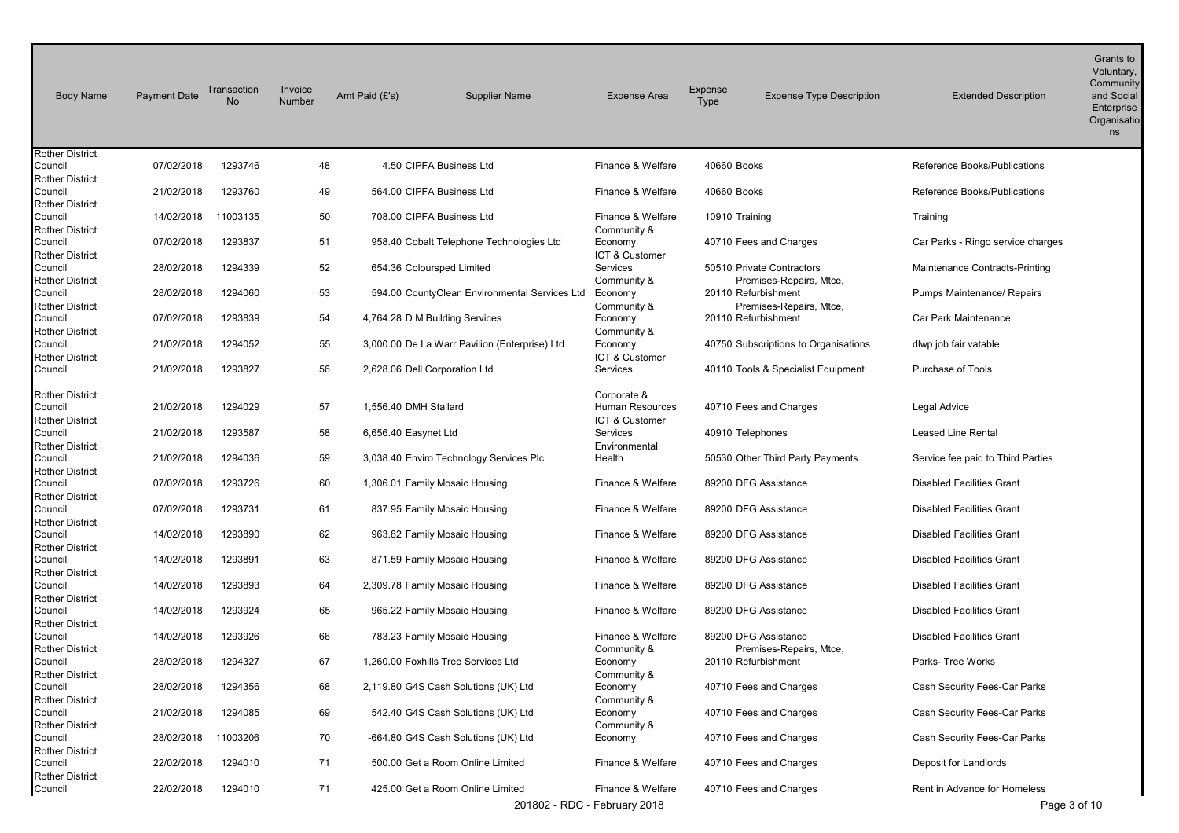| <b>Body Name</b>                  | <b>Payment Date</b> | Transaction<br><b>No</b> | Invoice<br>Number | Amt Paid (£'s) | <b>Supplier Name</b>                          | <b>Expense Area</b>               | Expense<br><b>Type</b> | <b>Expense Type Description</b>                | <b>Extended Description</b>       | Grants to<br>Voluntary,<br>Community<br>and Social<br>Enterprise<br>Organisatio<br>ns |
|-----------------------------------|---------------------|--------------------------|-------------------|----------------|-----------------------------------------------|-----------------------------------|------------------------|------------------------------------------------|-----------------------------------|---------------------------------------------------------------------------------------|
| <b>Rother District</b><br>Council | 07/02/2018          | 1293746                  |                   | 48             | 4.50 CIPFA Business Ltd                       | Finance & Welfare                 | 40660 Books            |                                                | Reference Books/Publications      |                                                                                       |
| <b>Rother District</b>            |                     |                          |                   |                |                                               |                                   |                        |                                                |                                   |                                                                                       |
| Council                           | 21/02/2018          | 1293760                  |                   | 49             | 564.00 CIPFA Business Ltd                     | Finance & Welfare                 | 40660 Books            |                                                | Reference Books/Publications      |                                                                                       |
| <b>Rother District</b>            |                     |                          |                   |                |                                               |                                   |                        |                                                |                                   |                                                                                       |
| Council                           | 14/02/2018          | 11003135                 |                   | 50             | 708.00 CIPFA Business Ltd                     | Finance & Welfare                 | 10910 Training         |                                                | Training                          |                                                                                       |
| <b>Rother District</b>            |                     |                          |                   |                |                                               | Community &                       |                        |                                                |                                   |                                                                                       |
| Council                           | 07/02/2018          | 1293837                  |                   | 51             | 958.40 Cobalt Telephone Technologies Ltd      | Economy                           |                        | 40710 Fees and Charges                         | Car Parks - Ringo service charges |                                                                                       |
| <b>Rother District</b>            |                     |                          |                   |                |                                               | ICT & Customer                    |                        |                                                |                                   |                                                                                       |
| Council                           | 28/02/2018          | 1294339                  |                   | 52             | 654.36 Coloursped Limited                     | Services                          |                        | 50510 Private Contractors                      | Maintenance Contracts-Printing    |                                                                                       |
| <b>Rother District</b><br>Council | 28/02/2018          | 1294060                  |                   | 53             | 594.00 CountyClean Environmental Services Ltd | Community &<br>Economy            |                        | Premises-Repairs, Mtce,<br>20110 Refurbishment | Pumps Maintenance/ Repairs        |                                                                                       |
| <b>Rother District</b>            |                     |                          |                   |                |                                               | Community &                       |                        | Premises-Repairs, Mtce,                        |                                   |                                                                                       |
| Council                           | 07/02/2018          | 1293839                  |                   | 54             | 4,764.28 D M Building Services                | Economy                           |                        | 20110 Refurbishment                            | Car Park Maintenance              |                                                                                       |
| <b>Rother District</b>            |                     |                          |                   |                |                                               | Community &                       |                        |                                                |                                   |                                                                                       |
| Council                           | 21/02/2018          | 1294052                  |                   | 55             | 3,000.00 De La Warr Pavilion (Enterprise) Ltd | Economy                           |                        | 40750 Subscriptions to Organisations           | dlwp job fair vatable             |                                                                                       |
| <b>Rother District</b>            |                     |                          |                   |                |                                               | ICT & Customer                    |                        |                                                |                                   |                                                                                       |
| Council                           | 21/02/2018          | 1293827                  |                   | 56             | 2,628.06 Dell Corporation Ltd                 | Services                          |                        | 40110 Tools & Specialist Equipment             | Purchase of Tools                 |                                                                                       |
|                                   |                     |                          |                   |                |                                               |                                   |                        |                                                |                                   |                                                                                       |
| <b>Rother District</b>            |                     |                          |                   |                |                                               | Corporate &                       |                        |                                                |                                   |                                                                                       |
| Council                           | 21/02/2018          | 1294029                  |                   | 57             | 1,556.40 DMH Stallard                         | Human Resources<br>ICT & Customer |                        | 40710 Fees and Charges                         | Legal Advice                      |                                                                                       |
| <b>Rother District</b><br>Council | 21/02/2018          | 1293587                  |                   | 58             | 6,656.40 Easynet Ltd                          | Services                          |                        | 40910 Telephones                               | <b>Leased Line Rental</b>         |                                                                                       |
| <b>Rother District</b>            |                     |                          |                   |                |                                               | Environmental                     |                        |                                                |                                   |                                                                                       |
| Council                           | 21/02/2018          | 1294036                  |                   | 59             | 3,038.40 Enviro Technology Services Plc       | Health                            |                        | 50530 Other Third Party Payments               | Service fee paid to Third Parties |                                                                                       |
| <b>Rother District</b>            |                     |                          |                   |                |                                               |                                   |                        |                                                |                                   |                                                                                       |
| Council                           | 07/02/2018          | 1293726                  |                   | 60             | 1,306.01 Family Mosaic Housing                | Finance & Welfare                 |                        | 89200 DFG Assistance                           | <b>Disabled Facilities Grant</b>  |                                                                                       |
| <b>Rother District</b>            |                     |                          |                   |                |                                               |                                   |                        |                                                |                                   |                                                                                       |
| Council                           | 07/02/2018          | 1293731                  |                   | 61             | 837.95 Family Mosaic Housing                  | Finance & Welfare                 |                        | 89200 DFG Assistance                           | <b>Disabled Facilities Grant</b>  |                                                                                       |
| <b>Rother District</b>            |                     |                          |                   |                |                                               |                                   |                        |                                                |                                   |                                                                                       |
| Council                           | 14/02/2018          | 1293890                  |                   | 62             | 963.82 Family Mosaic Housing                  | Finance & Welfare                 |                        | 89200 DFG Assistance                           | <b>Disabled Facilities Grant</b>  |                                                                                       |
| <b>Rother District</b><br>Council | 14/02/2018          | 1293891                  |                   | 63             | 871.59 Family Mosaic Housing                  | Finance & Welfare                 |                        | 89200 DFG Assistance                           | <b>Disabled Facilities Grant</b>  |                                                                                       |
| <b>Rother District</b>            |                     |                          |                   |                |                                               |                                   |                        |                                                |                                   |                                                                                       |
| Council                           | 14/02/2018          | 1293893                  |                   | 64             | 2,309.78 Family Mosaic Housing                | Finance & Welfare                 |                        | 89200 DFG Assistance                           | <b>Disabled Facilities Grant</b>  |                                                                                       |
| <b>Rother District</b>            |                     |                          |                   |                |                                               |                                   |                        |                                                |                                   |                                                                                       |
| Council                           | 14/02/2018          | 1293924                  |                   | 65             | 965.22 Family Mosaic Housing                  | Finance & Welfare                 |                        | 89200 DFG Assistance                           | <b>Disabled Facilities Grant</b>  |                                                                                       |
| <b>Rother District</b>            |                     |                          |                   |                |                                               |                                   |                        |                                                |                                   |                                                                                       |
| Council                           | 14/02/2018          | 1293926                  |                   | 66             | 783.23 Family Mosaic Housing                  | Finance & Welfare                 |                        | 89200 DFG Assistance                           | <b>Disabled Facilities Grant</b>  |                                                                                       |
| <b>Rother District</b>            |                     |                          |                   |                | 1.260.00 Foxhills Tree Services Ltd           | Community &                       |                        | Premises-Repairs, Mtce,                        |                                   |                                                                                       |
| Council<br><b>Rother District</b> | 28/02/2018          | 1294327                  |                   | 67             |                                               | Economy                           |                        | 20110 Refurbishment                            | Parks- Tree Works                 |                                                                                       |
| Council                           | 28/02/2018          | 1294356                  |                   | 68             | 2,119.80 G4S Cash Solutions (UK) Ltd          | Community &<br>Economy            |                        | 40710 Fees and Charges                         | Cash Security Fees-Car Parks      |                                                                                       |
| <b>Rother District</b>            |                     |                          |                   |                |                                               | Community &                       |                        |                                                |                                   |                                                                                       |
| Council                           | 21/02/2018          | 1294085                  |                   | 69             | 542.40 G4S Cash Solutions (UK) Ltd            | Economy                           |                        | 40710 Fees and Charges                         | Cash Security Fees-Car Parks      |                                                                                       |
| <b>Rother District</b>            |                     |                          |                   |                |                                               | Community &                       |                        |                                                |                                   |                                                                                       |
| Council                           | 28/02/2018          | 11003206                 |                   | 70             | -664.80 G4S Cash Solutions (UK) Ltd           | Economy                           |                        | 40710 Fees and Charges                         | Cash Security Fees-Car Parks      |                                                                                       |
| <b>Rother District</b>            |                     |                          |                   |                |                                               |                                   |                        |                                                |                                   |                                                                                       |
| Council                           | 22/02/2018          | 1294010                  |                   | 71             | 500.00 Get a Room Online Limited              | Finance & Welfare                 |                        | 40710 Fees and Charges                         | Deposit for Landlords             |                                                                                       |
| <b>Rother District</b>            |                     |                          |                   |                |                                               |                                   |                        |                                                |                                   |                                                                                       |
| Council                           | 22/02/2018          | 1294010                  |                   | 71             | 425.00 Get a Room Online Limited              | Finance & Welfare                 |                        | 40710 Fees and Charges                         | Rent in Advance for Homeless      |                                                                                       |
|                                   |                     |                          |                   |                |                                               | 201802 - RDC - February 2018      |                        |                                                | Page 3 of 10                      |                                                                                       |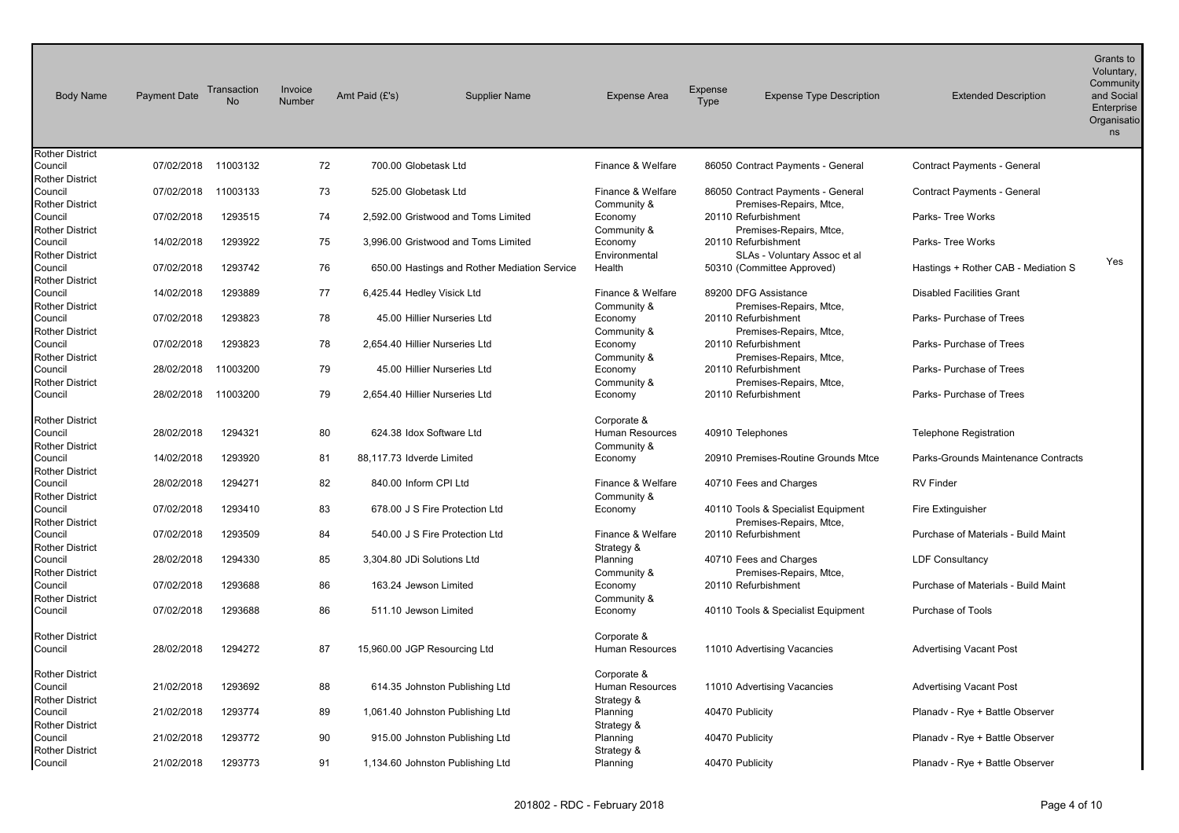| <b>Body Name</b>                                            | <b>Payment Date</b> | Transaction<br>No | Invoice<br>Number | Amt Paid (£'s) | <b>Supplier Name</b>                         | <b>Expense Area</b>                                  | Expense<br>Type | <b>Expense Type Description</b>                               | <b>Extended Description</b>         | Grants to<br>Voluntary,<br>Community<br>and Social<br>Enterprise<br>Organisatio<br>ns |
|-------------------------------------------------------------|---------------------|-------------------|-------------------|----------------|----------------------------------------------|------------------------------------------------------|-----------------|---------------------------------------------------------------|-------------------------------------|---------------------------------------------------------------------------------------|
| <b>Rother District</b><br>Council                           | 07/02/2018          | 11003132          | 72                |                | 700.00 Globetask Ltd                         | Finance & Welfare                                    |                 | 86050 Contract Payments - General                             | Contract Payments - General         |                                                                                       |
| <b>Rother District</b><br>Council                           | 07/02/2018          | 11003133          | 73                |                | 525.00 Globetask Ltd                         | Finance & Welfare                                    |                 | 86050 Contract Payments - General                             | Contract Payments - General         |                                                                                       |
| <b>Rother District</b><br>Council                           | 07/02/2018          | 1293515           | 74                |                | 2,592.00 Gristwood and Toms Limited          | Community &<br>Economy                               |                 | Premises-Repairs, Mtce,<br>20110 Refurbishment                | Parks- Tree Works                   |                                                                                       |
| <b>Rother District</b>                                      |                     |                   |                   |                |                                              | Community &                                          |                 | Premises-Repairs, Mtce,                                       |                                     |                                                                                       |
| Council<br><b>Rother District</b>                           | 14/02/2018          | 1293922           | 75                |                | 3.996.00 Gristwood and Toms Limited          | Economy<br>Environmental                             |                 | 20110 Refurbishment<br>SLAs - Voluntary Assoc et al           | Parks- Tree Works                   | Yes                                                                                   |
| Council<br><b>Rother District</b>                           | 07/02/2018          | 1293742           | 76                |                | 650.00 Hastings and Rother Mediation Service | Health                                               |                 | 50310 (Committee Approved)                                    | Hastings + Rother CAB - Mediation S |                                                                                       |
| Council<br><b>Rother District</b>                           | 14/02/2018          | 1293889           | 77                |                | 6,425.44 Hedley Visick Ltd                   | Finance & Welfare<br>Community &                     |                 | 89200 DFG Assistance<br>Premises-Repairs, Mtce,               | <b>Disabled Facilities Grant</b>    |                                                                                       |
| Council<br><b>Rother District</b>                           | 07/02/2018          | 1293823           | 78                |                | 45.00 Hillier Nurseries Ltd                  | Economy<br>Community &                               |                 | 20110 Refurbishment<br>Premises-Repairs, Mtce,                | Parks- Purchase of Trees            |                                                                                       |
| Council                                                     | 07/02/2018          | 1293823           | 78                |                | 2.654.40 Hillier Nurseries Ltd               | Economy                                              |                 | 20110 Refurbishment                                           | Parks- Purchase of Trees            |                                                                                       |
| <b>Rother District</b><br>Council                           | 28/02/2018          | 11003200          | 79                |                | 45.00 Hillier Nurseries Ltd                  | Community &<br>Economy                               |                 | Premises-Repairs, Mtce,<br>20110 Refurbishment                | Parks- Purchase of Trees            |                                                                                       |
| Rother District<br>Council                                  | 28/02/2018          | 11003200          | 79                |                | 2.654.40 Hillier Nurseries Ltd               | Community &<br>Economy                               |                 | Premises-Repairs, Mtce,<br>20110 Refurbishment                | Parks- Purchase of Trees            |                                                                                       |
| <b>Rother District</b><br>Council<br><b>Rother District</b> | 28/02/2018          | 1294321           | 80                |                | 624.38 Idox Software Ltd                     | Corporate &<br><b>Human Resources</b><br>Community & |                 | 40910 Telephones                                              | <b>Telephone Registration</b>       |                                                                                       |
| Council<br><b>Rother District</b>                           | 14/02/2018          | 1293920           | 81                |                | 88,117.73 Idverde Limited                    | Economy                                              |                 | 20910 Premises-Routine Grounds Mtce                           | Parks-Grounds Maintenance Contracts |                                                                                       |
| Council<br><b>Rother District</b>                           | 28/02/2018          | 1294271           | 82                |                | 840.00 Inform CPI Ltd                        | Finance & Welfare<br>Community &                     |                 | 40710 Fees and Charges                                        | <b>RV Finder</b>                    |                                                                                       |
| Council<br><b>Rother District</b>                           | 07/02/2018          | 1293410           | 83                |                | 678.00 J S Fire Protection Ltd               | Economy                                              |                 | 40110 Tools & Specialist Equipment<br>Premises-Repairs, Mtce, | Fire Extinguisher                   |                                                                                       |
| Council                                                     | 07/02/2018          | 1293509           | 84                |                | 540.00 J S Fire Protection Ltd               | Finance & Welfare                                    |                 | 20110 Refurbishment                                           | Purchase of Materials - Build Maint |                                                                                       |
| <b>Rother District</b><br>Council                           | 28/02/2018          | 1294330           | 85                |                | 3,304.80 JDi Solutions Ltd                   | Strategy &<br>Planning                               |                 | 40710 Fees and Charges                                        | <b>LDF Consultancy</b>              |                                                                                       |
| <b>Rother District</b><br>Council                           | 07/02/2018          | 1293688           | 86                |                | 163.24 Jewson Limited                        | Community &<br>Economy                               |                 | Premises-Repairs, Mtce,<br>20110 Refurbishment                | Purchase of Materials - Build Maint |                                                                                       |
| <b>Rother District</b><br>Council                           | 07/02/2018          | 1293688           | 86                |                | 511.10 Jewson Limited                        | Community &<br>Economy                               |                 | 40110 Tools & Specialist Equipment                            | <b>Purchase of Tools</b>            |                                                                                       |
| <b>Rother District</b><br>Council                           | 28/02/2018          | 1294272           | 87                |                | 15,960.00 JGP Resourcing Ltd                 | Corporate &<br><b>Human Resources</b>                |                 | 11010 Advertising Vacancies                                   | <b>Advertising Vacant Post</b>      |                                                                                       |
| <b>Rother District</b><br>Council<br><b>Rother District</b> | 21/02/2018          | 1293692           | 88                |                | 614.35 Johnston Publishing Ltd               | Corporate &<br>Human Resources<br>Strategy &         |                 | 11010 Advertising Vacancies                                   | <b>Advertising Vacant Post</b>      |                                                                                       |
| Council<br><b>Rother District</b>                           | 21/02/2018          | 1293774           | 89                |                | 1,061.40 Johnston Publishing Ltd             | Planning                                             | 40470 Publicity |                                                               | Planady - Rye + Battle Observer     |                                                                                       |
| Council                                                     | 21/02/2018          | 1293772           | 90                |                | 915.00 Johnston Publishing Ltd               | Strategy &<br>Planning                               | 40470 Publicity |                                                               | Planady - Rye + Battle Observer     |                                                                                       |
| <b>Rother District</b><br>Council                           | 21/02/2018          | 1293773           | 91                |                | 1,134.60 Johnston Publishing Ltd             | Strategy &<br>Planning                               | 40470 Publicity |                                                               | Planady - Rye + Battle Observer     |                                                                                       |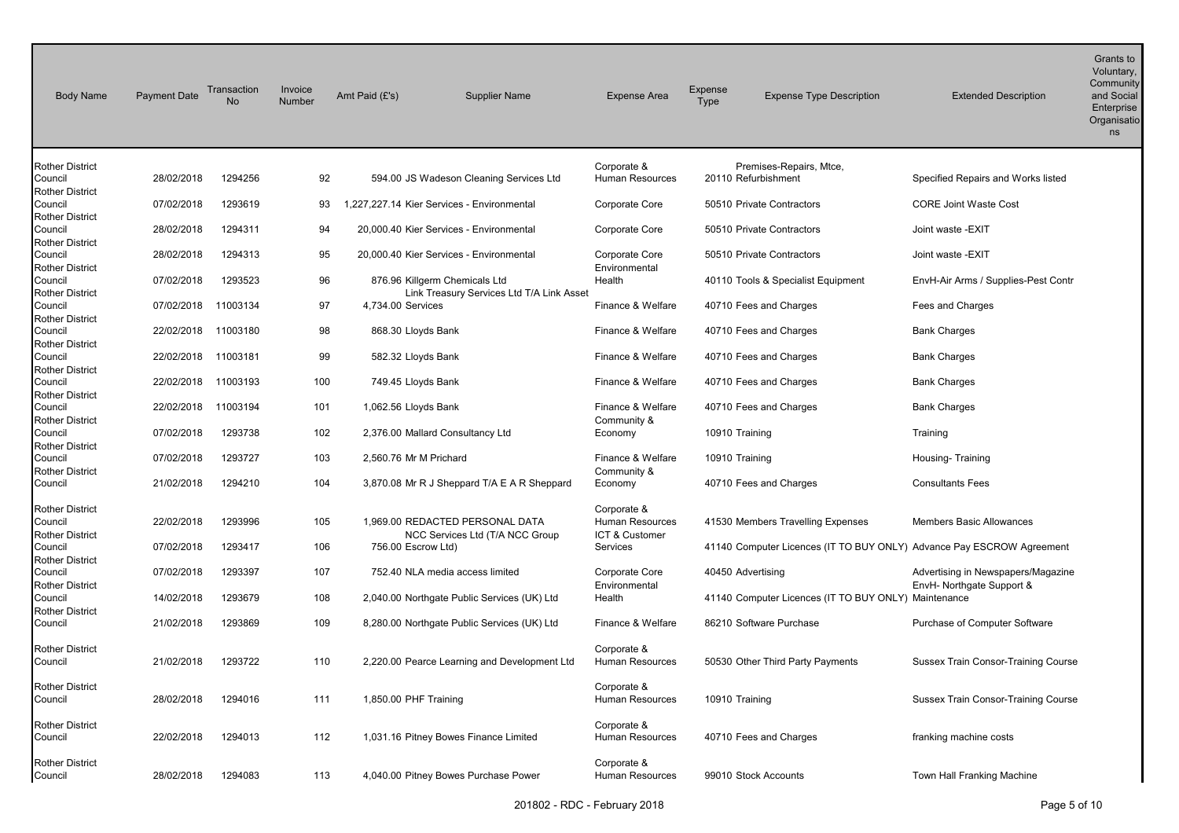| <b>Body Name</b>                  | <b>Payment Date</b> | Transaction<br><b>No</b> | Invoice<br>Number | Amt Paid (£'s)                             | <b>Supplier Name</b>                         | <b>Expense Area</b>              | Expense<br><b>Type</b> | <b>Expense Type Description</b>                                       | <b>Extended Description</b>                | Grants to<br>Voluntary,<br>Community<br>and Social<br>Enterprise<br>Organisatio<br>ns |
|-----------------------------------|---------------------|--------------------------|-------------------|--------------------------------------------|----------------------------------------------|----------------------------------|------------------------|-----------------------------------------------------------------------|--------------------------------------------|---------------------------------------------------------------------------------------|
| <b>Rother District</b>            |                     |                          |                   |                                            |                                              | Corporate &                      |                        | Premises-Repairs, Mtce,                                               |                                            |                                                                                       |
| Council                           | 28/02/2018          | 1294256                  | 92                |                                            | 594.00 JS Wadeson Cleaning Services Ltd      | Human Resources                  |                        | 20110 Refurbishment                                                   | Specified Repairs and Works listed         |                                                                                       |
| <b>Rother District</b><br>Council | 07/02/2018          | 1293619                  | 93                | 1,227,227.14 Kier Services - Environmental |                                              | Corporate Core                   |                        | 50510 Private Contractors                                             | <b>CORE Joint Waste Cost</b>               |                                                                                       |
| <b>Rother District</b>            |                     |                          |                   |                                            |                                              |                                  |                        |                                                                       |                                            |                                                                                       |
| Council                           | 28/02/2018          | 1294311                  | 94                |                                            | 20,000.40 Kier Services - Environmental      | Corporate Core                   |                        | 50510 Private Contractors                                             | Joint waste -EXIT                          |                                                                                       |
| <b>Rother District</b>            | 28/02/2018          | 1294313                  | 95                |                                            |                                              |                                  |                        |                                                                       |                                            |                                                                                       |
| Council<br><b>Rother District</b> |                     |                          |                   |                                            | 20,000.40 Kier Services - Environmental      | Corporate Core<br>Environmental  |                        | 50510 Private Contractors                                             | Joint waste -EXIT                          |                                                                                       |
| Council                           | 07/02/2018          | 1293523                  | 96                | 876.96 Killgerm Chemicals Ltd              |                                              | Health                           |                        | 40110 Tools & Specialist Equipment                                    | EnvH-Air Arms / Supplies-Pest Contr        |                                                                                       |
| <b>Rother District</b>            |                     |                          |                   |                                            | Link Treasury Services Ltd T/A Link Asset    |                                  |                        |                                                                       |                                            |                                                                                       |
| Council                           | 07/02/2018          | 11003134                 | 97                | 4,734.00 Services                          |                                              | Finance & Welfare                |                        | 40710 Fees and Charges                                                | Fees and Charges                           |                                                                                       |
| <b>Rother District</b><br>Council | 22/02/2018          | 11003180                 | 98                | 868.30 Lloyds Bank                         |                                              | Finance & Welfare                |                        | 40710 Fees and Charges                                                | <b>Bank Charges</b>                        |                                                                                       |
| <b>Rother District</b>            |                     |                          |                   |                                            |                                              |                                  |                        |                                                                       |                                            |                                                                                       |
| Council                           | 22/02/2018          | 11003181                 | 99                | 582.32 Lloyds Bank                         |                                              | Finance & Welfare                |                        | 40710 Fees and Charges                                                | <b>Bank Charges</b>                        |                                                                                       |
| <b>Rother District</b>            |                     |                          |                   |                                            |                                              |                                  |                        |                                                                       |                                            |                                                                                       |
| Council                           | 22/02/2018          | 11003193                 | 100               | 749.45 Lloyds Bank                         |                                              | Finance & Welfare                |                        | 40710 Fees and Charges                                                | <b>Bank Charges</b>                        |                                                                                       |
| <b>Rother District</b><br>Council | 22/02/2018          | 11003194                 | 101               | 1,062.56 Lloyds Bank                       |                                              | Finance & Welfare                |                        | 40710 Fees and Charges                                                | <b>Bank Charges</b>                        |                                                                                       |
| <b>Rother District</b>            |                     |                          |                   |                                            |                                              | Community &                      |                        |                                                                       |                                            |                                                                                       |
| Council                           | 07/02/2018          | 1293738                  | 102               | 2,376.00 Mallard Consultancy Ltd           |                                              | Economy                          |                        | 10910 Training                                                        | Training                                   |                                                                                       |
| <b>Rother District</b>            |                     |                          |                   |                                            |                                              |                                  |                        |                                                                       |                                            |                                                                                       |
| Council<br><b>Rother District</b> | 07/02/2018          | 1293727                  | 103               | 2,560.76 Mr M Prichard                     |                                              | Finance & Welfare<br>Community & |                        | 10910 Training                                                        | Housing-Training                           |                                                                                       |
| Council                           | 21/02/2018          | 1294210                  | 104               |                                            | 3,870.08 Mr R J Sheppard T/A E A R Sheppard  | Economy                          |                        | 40710 Fees and Charges                                                | <b>Consultants Fees</b>                    |                                                                                       |
|                                   |                     |                          |                   |                                            |                                              |                                  |                        |                                                                       |                                            |                                                                                       |
| <b>Rother District</b>            |                     |                          |                   |                                            |                                              | Corporate &                      |                        |                                                                       |                                            |                                                                                       |
| Council                           | 22/02/2018          | 1293996                  | 105               |                                            | 1,969.00 REDACTED PERSONAL DATA              | Human Resources                  |                        | 41530 Members Travelling Expenses                                     | <b>Members Basic Allowances</b>            |                                                                                       |
| <b>Rother District</b><br>Council | 07/02/2018          | 1293417                  | 106               | 756.00 Escrow Ltd)                         | NCC Services Ltd (T/A NCC Group              | ICT & Customer<br>Services       |                        | 41140 Computer Licences (IT TO BUY ONLY) Advance Pay ESCROW Agreement |                                            |                                                                                       |
| <b>Rother District</b>            |                     |                          |                   |                                            |                                              |                                  |                        |                                                                       |                                            |                                                                                       |
| Council                           | 07/02/2018          | 1293397                  | 107               |                                            | 752.40 NLA media access limited              | Corporate Core                   |                        | 40450 Advertising                                                     | Advertising in Newspapers/Magazine         |                                                                                       |
| <b>Rother District</b>            |                     |                          |                   |                                            |                                              | Environmental                    |                        |                                                                       | EnvH- Northgate Support &                  |                                                                                       |
| Council                           | 14/02/2018          | 1293679                  | 108               |                                            | 2,040.00 Northgate Public Services (UK) Ltd  | Health                           |                        | 41140 Computer Licences (IT TO BUY ONLY) Maintenance                  |                                            |                                                                                       |
| <b>Rother District</b><br>Council | 21/02/2018          | 1293869                  | 109               |                                            | 8,280.00 Northgate Public Services (UK) Ltd  | Finance & Welfare                |                        | 86210 Software Purchase                                               | Purchase of Computer Software              |                                                                                       |
|                                   |                     |                          |                   |                                            |                                              |                                  |                        |                                                                       |                                            |                                                                                       |
| <b>Rother District</b>            |                     |                          |                   |                                            |                                              | Corporate &                      |                        |                                                                       |                                            |                                                                                       |
| Council                           | 21/02/2018          | 1293722                  | 110               |                                            | 2,220.00 Pearce Learning and Development Ltd | Human Resources                  |                        | 50530 Other Third Party Payments                                      | Sussex Train Consor-Training Course        |                                                                                       |
|                                   |                     |                          |                   |                                            |                                              | Corporate &                      |                        |                                                                       |                                            |                                                                                       |
| <b>Rother District</b><br>Council | 28/02/2018          | 1294016                  | 111               | 1,850.00 PHF Training                      |                                              | Human Resources                  |                        | 10910 Training                                                        | <b>Sussex Train Consor-Training Course</b> |                                                                                       |
|                                   |                     |                          |                   |                                            |                                              |                                  |                        |                                                                       |                                            |                                                                                       |
| <b>Rother District</b>            |                     |                          |                   |                                            |                                              | Corporate &                      |                        |                                                                       |                                            |                                                                                       |
| Council                           | 22/02/2018          | 1294013                  | 112               |                                            | 1,031.16 Pitney Bowes Finance Limited        | Human Resources                  |                        | 40710 Fees and Charges                                                | franking machine costs                     |                                                                                       |
| <b>Rother District</b>            |                     |                          |                   |                                            |                                              | Corporate &                      |                        |                                                                       |                                            |                                                                                       |
| Council                           | 28/02/2018          | 1294083                  | 113               |                                            | 4,040.00 Pitney Bowes Purchase Power         | Human Resources                  |                        | 99010 Stock Accounts                                                  | Town Hall Franking Machine                 |                                                                                       |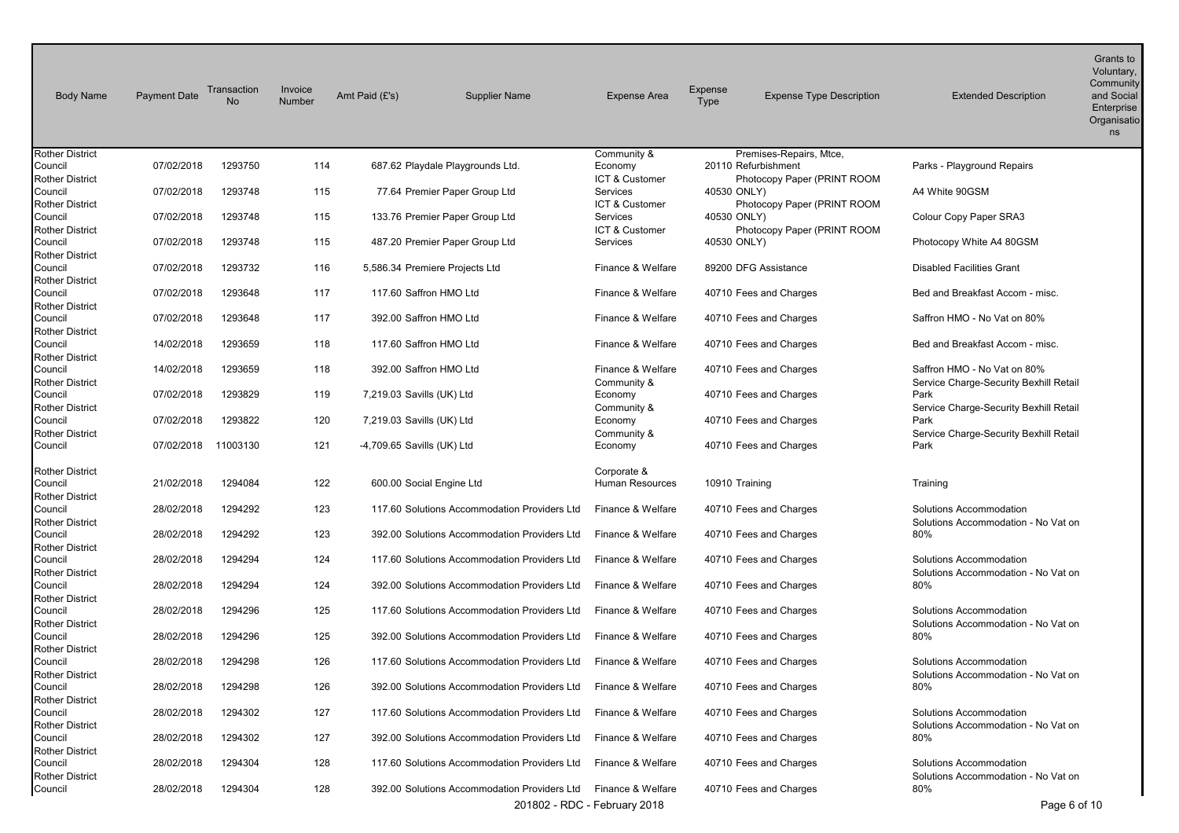| <b>Body Name</b>                                            | <b>Payment Date</b> | Transaction<br>No | Invoice<br>Number | Amt Paid (£'s)             | <b>Supplier Name</b>                         | <b>Expense Area</b>              | Expense<br><b>Type</b> | <b>Expense Type Description</b>                    | <b>Extended Description</b>                                           | Grants to<br>Voluntary,<br>Community<br>and Social<br>Enterprise<br>Organisatio<br>ns |
|-------------------------------------------------------------|---------------------|-------------------|-------------------|----------------------------|----------------------------------------------|----------------------------------|------------------------|----------------------------------------------------|-----------------------------------------------------------------------|---------------------------------------------------------------------------------------|
| <b>Rother District</b>                                      |                     |                   |                   |                            |                                              | Community &                      |                        | Premises-Repairs, Mtce,                            |                                                                       |                                                                                       |
| Council<br><b>Rother District</b>                           | 07/02/2018          | 1293750           | 114               |                            | 687.62 Playdale Playgrounds Ltd.             | Economy<br>ICT & Customer        |                        | 20110 Refurbishment<br>Photocopy Paper (PRINT ROOM | Parks - Playground Repairs                                            |                                                                                       |
| Council                                                     | 07/02/2018          | 1293748           | 115               |                            | 77.64 Premier Paper Group Ltd                | Services                         | 40530 ONLY)            |                                                    | A4 White 90GSM                                                        |                                                                                       |
| <b>Rother District</b>                                      |                     |                   |                   |                            |                                              | ICT & Customer                   |                        | Photocopy Paper (PRINT ROOM                        |                                                                       |                                                                                       |
| Council<br><b>Rother District</b>                           | 07/02/2018          | 1293748           | 115               |                            | 133.76 Premier Paper Group Ltd               | Services<br>ICT & Customer       | 40530 ONLY)            | Photocopy Paper (PRINT ROOM                        | Colour Copy Paper SRA3                                                |                                                                                       |
| Council<br><b>Rother District</b>                           | 07/02/2018          | 1293748           | 115               |                            | 487.20 Premier Paper Group Ltd               | Services                         | 40530 ONLY)            |                                                    | Photocopy White A4 80GSM                                              |                                                                                       |
| Council<br><b>Rother District</b>                           | 07/02/2018          | 1293732           | 116               |                            | 5,586.34 Premiere Projects Ltd               | Finance & Welfare                |                        | 89200 DFG Assistance                               | <b>Disabled Facilities Grant</b>                                      |                                                                                       |
| Council<br><b>Rother District</b>                           | 07/02/2018          | 1293648           | 117               | 117.60 Saffron HMO Ltd     |                                              | Finance & Welfare                |                        | 40710 Fees and Charges                             | Bed and Breakfast Accom - misc.                                       |                                                                                       |
| Council<br><b>Rother District</b>                           | 07/02/2018          | 1293648           | 117               | 392.00 Saffron HMO Ltd     |                                              | Finance & Welfare                |                        | 40710 Fees and Charges                             | Saffron HMO - No Vat on 80%                                           |                                                                                       |
| Council<br><b>Rother District</b>                           | 14/02/2018          | 1293659           | 118               | 117.60 Saffron HMO Ltd     |                                              | Finance & Welfare                |                        | 40710 Fees and Charges                             | Bed and Breakfast Accom - misc.                                       |                                                                                       |
| Council<br><b>Rother District</b>                           | 14/02/2018          | 1293659           | 118               | 392.00 Saffron HMO Ltd     |                                              | Finance & Welfare<br>Community & |                        | 40710 Fees and Charges                             | Saffron HMO - No Vat on 80%<br>Service Charge-Security Bexhill Retail |                                                                                       |
| Council<br><b>Rother District</b>                           | 07/02/2018          | 1293829           | 119               | 7,219.03 Savills (UK) Ltd  |                                              | Economy<br>Community &           |                        | 40710 Fees and Charges                             | Park<br>Service Charge-Security Bexhill Retail                        |                                                                                       |
| Council                                                     | 07/02/2018          | 1293822           | 120               | 7,219.03 Savills (UK) Ltd  |                                              | Economy                          |                        | 40710 Fees and Charges                             | Park                                                                  |                                                                                       |
| <b>Rother District</b><br>Council                           | 07/02/2018          | 11003130          | 121               | -4,709.65 Savills (UK) Ltd |                                              | Community &<br>Economy           |                        | 40710 Fees and Charges                             | Service Charge-Security Bexhill Retail<br>Park                        |                                                                                       |
| <b>Rother District</b><br>Council<br><b>Rother District</b> | 21/02/2018          | 1294084           | 122               | 600.00 Social Engine Ltd   |                                              | Corporate &<br>Human Resources   | 10910 Training         |                                                    | Training                                                              |                                                                                       |
| Council<br><b>Rother District</b>                           | 28/02/2018          | 1294292           | 123               |                            | 117.60 Solutions Accommodation Providers Ltd | Finance & Welfare                |                        | 40710 Fees and Charges                             | Solutions Accommodation<br>Solutions Accommodation - No Vat on        |                                                                                       |
| Council<br><b>Rother District</b>                           | 28/02/2018          | 1294292           | 123               |                            | 392.00 Solutions Accommodation Providers Ltd | Finance & Welfare                |                        | 40710 Fees and Charges                             | 80%                                                                   |                                                                                       |
| Council<br><b>Rother District</b>                           | 28/02/2018          | 1294294           | 124               |                            | 117.60 Solutions Accommodation Providers Ltd | Finance & Welfare                |                        | 40710 Fees and Charges                             | Solutions Accommodation<br>Solutions Accommodation - No Vat on        |                                                                                       |
| Council<br><b>Rother District</b>                           | 28/02/2018          | 1294294           | 124               |                            | 392.00 Solutions Accommodation Providers Ltd | Finance & Welfare                |                        | 40710 Fees and Charges                             | 80%                                                                   |                                                                                       |
| Council<br><b>Rother District</b>                           | 28/02/2018          | 1294296           | 125               |                            | 117.60 Solutions Accommodation Providers Ltd | Finance & Welfare                |                        | 40710 Fees and Charges                             | Solutions Accommodation<br>Solutions Accommodation - No Vat on        |                                                                                       |
| Council<br><b>Rother District</b>                           | 28/02/2018          | 1294296           | 125               |                            | 392.00 Solutions Accommodation Providers Ltd | Finance & Welfare                |                        | 40710 Fees and Charges                             | 80%                                                                   |                                                                                       |
| Council<br><b>Rother District</b>                           | 28/02/2018          | 1294298           | 126               |                            | 117.60 Solutions Accommodation Providers Ltd | Finance & Welfare                |                        | 40710 Fees and Charges                             | Solutions Accommodation<br>Solutions Accommodation - No Vat on        |                                                                                       |
| Council<br><b>Rother District</b>                           | 28/02/2018          | 1294298           | 126               |                            | 392.00 Solutions Accommodation Providers Ltd | Finance & Welfare                |                        | 40710 Fees and Charges                             | 80%                                                                   |                                                                                       |
| Council<br><b>Rother District</b>                           | 28/02/2018          | 1294302           | 127               |                            | 117.60 Solutions Accommodation Providers Ltd | Finance & Welfare                |                        | 40710 Fees and Charges                             | Solutions Accommodation<br>Solutions Accommodation - No Vat on        |                                                                                       |
| Council<br><b>Rother District</b>                           | 28/02/2018          | 1294302           | 127               |                            | 392.00 Solutions Accommodation Providers Ltd | Finance & Welfare                |                        | 40710 Fees and Charges                             | 80%                                                                   |                                                                                       |
| Council<br><b>Rother District</b>                           | 28/02/2018          | 1294304           | 128               |                            | 117.60 Solutions Accommodation Providers Ltd | Finance & Welfare                |                        | 40710 Fees and Charges                             | Solutions Accommodation<br>Solutions Accommodation - No Vat on        |                                                                                       |
| Council                                                     | 28/02/2018          | 1294304           | 128               |                            | 392.00 Solutions Accommodation Providers Ltd | Finance & Welfare                |                        | 40710 Fees and Charges                             | 80%                                                                   |                                                                                       |
|                                                             |                     |                   |                   |                            |                                              | 201802 - RDC - February 2018     |                        |                                                    | Page 6 of 10                                                          |                                                                                       |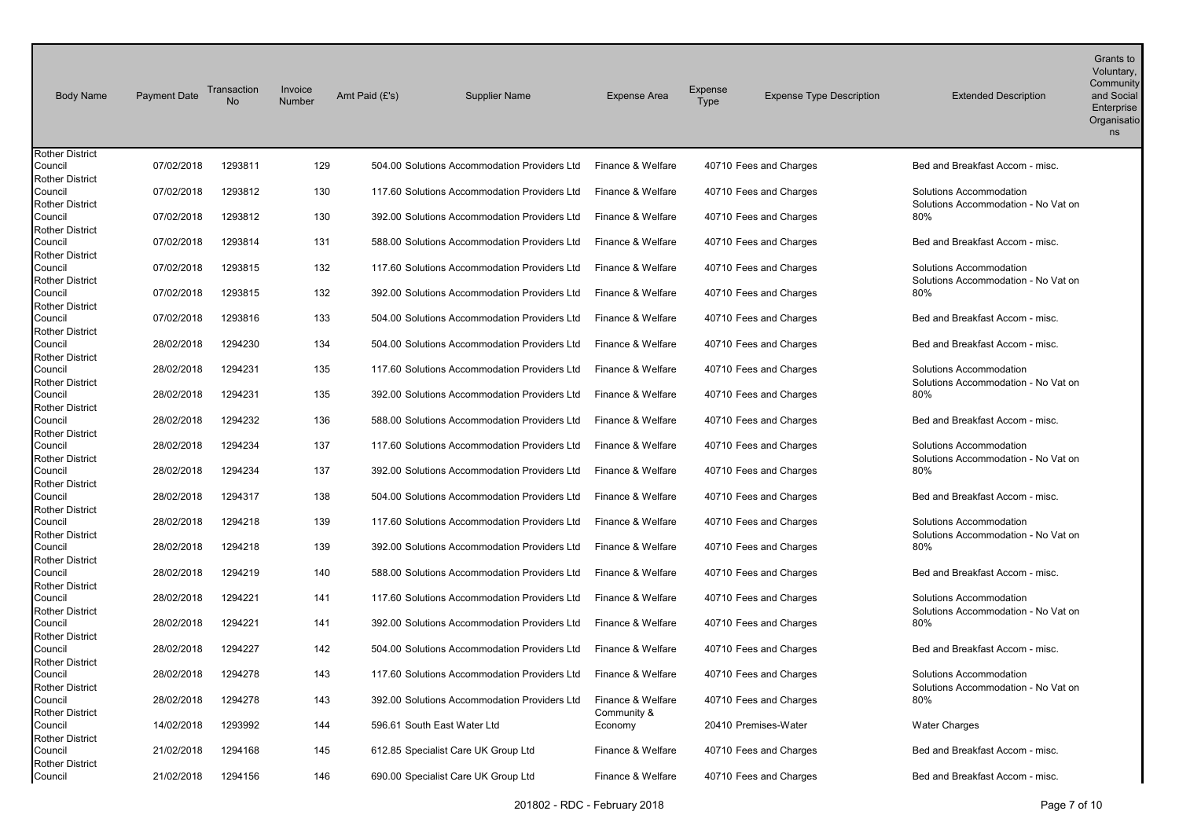| <b>Body Name</b>                  | <b>Payment Date</b> | Transaction<br><b>No</b> | Invoice<br>Number | Amt Paid (£'s) | <b>Supplier Name</b>                                             | <b>Expense Area</b> | Expense<br><b>Type</b> | <b>Expense Type Description</b> | <b>Extended Description</b>                | Grants to<br>Voluntary,<br>Community<br>and Social<br>Enterprise<br>Organisatio<br>ns |
|-----------------------------------|---------------------|--------------------------|-------------------|----------------|------------------------------------------------------------------|---------------------|------------------------|---------------------------------|--------------------------------------------|---------------------------------------------------------------------------------------|
| <b>Rother District</b>            |                     |                          |                   |                |                                                                  |                     |                        |                                 |                                            |                                                                                       |
| Council<br><b>Rother District</b> | 07/02/2018          | 1293811                  | 129               |                | 504.00 Solutions Accommodation Providers Ltd                     | Finance & Welfare   |                        | 40710 Fees and Charges          | Bed and Breakfast Accom - misc.            |                                                                                       |
| Council                           | 07/02/2018          | 1293812                  | 130               |                | 117.60 Solutions Accommodation Providers Ltd                     | Finance & Welfare   |                        | 40710 Fees and Charges          | Solutions Accommodation                    |                                                                                       |
| <b>Rother District</b>            |                     |                          |                   |                |                                                                  |                     |                        |                                 | Solutions Accommodation - No Vat on        |                                                                                       |
| Council                           | 07/02/2018          | 1293812                  | 130               |                | 392.00 Solutions Accommodation Providers Ltd                     | Finance & Welfare   |                        | 40710 Fees and Charges          | 80%                                        |                                                                                       |
| <b>Rother District</b>            |                     |                          |                   |                |                                                                  |                     |                        |                                 |                                            |                                                                                       |
| Council                           | 07/02/2018          | 1293814                  | 131               |                | 588.00 Solutions Accommodation Providers Ltd                     | Finance & Welfare   |                        | 40710 Fees and Charges          | Bed and Breakfast Accom - misc.            |                                                                                       |
| <b>Rother District</b>            |                     |                          |                   |                |                                                                  |                     |                        |                                 |                                            |                                                                                       |
| Council                           | 07/02/2018          | 1293815                  | 132               |                | 117.60 Solutions Accommodation Providers Ltd                     | Finance & Welfare   |                        | 40710 Fees and Charges          | Solutions Accommodation                    |                                                                                       |
| <b>Rother District</b>            |                     |                          |                   |                |                                                                  |                     |                        |                                 | Solutions Accommodation - No Vat on        |                                                                                       |
| Council                           | 07/02/2018          | 1293815                  | 132               |                | 392.00 Solutions Accommodation Providers Ltd                     | Finance & Welfare   |                        | 40710 Fees and Charges          | 80%                                        |                                                                                       |
| <b>Rother District</b><br>Council | 07/02/2018          | 1293816                  | 133               |                | 504.00 Solutions Accommodation Providers Ltd                     | Finance & Welfare   |                        | 40710 Fees and Charges          | Bed and Breakfast Accom - misc.            |                                                                                       |
| <b>Rother District</b>            |                     |                          |                   |                |                                                                  |                     |                        |                                 |                                            |                                                                                       |
| Council                           | 28/02/2018          | 1294230                  | 134               |                | 504.00 Solutions Accommodation Providers Ltd                     | Finance & Welfare   |                        | 40710 Fees and Charges          | Bed and Breakfast Accom - misc.            |                                                                                       |
| <b>Rother District</b>            |                     |                          |                   |                |                                                                  |                     |                        |                                 |                                            |                                                                                       |
| Council                           | 28/02/2018          | 1294231                  | 135               |                | 117.60 Solutions Accommodation Providers Ltd                     | Finance & Welfare   |                        | 40710 Fees and Charges          | Solutions Accommodation                    |                                                                                       |
| <b>Rother District</b>            |                     |                          |                   |                |                                                                  |                     |                        |                                 | Solutions Accommodation - No Vat on        |                                                                                       |
| Council                           | 28/02/2018          | 1294231                  | 135               |                | 392.00 Solutions Accommodation Providers Ltd                     | Finance & Welfare   |                        | 40710 Fees and Charges          | 80%                                        |                                                                                       |
| <b>Rother District</b>            |                     |                          |                   |                |                                                                  |                     |                        |                                 |                                            |                                                                                       |
| Council                           | 28/02/2018          | 1294232                  | 136               |                | 588.00 Solutions Accommodation Providers Ltd                     | Finance & Welfare   |                        | 40710 Fees and Charges          | Bed and Breakfast Accom - misc.            |                                                                                       |
| <b>Rother District</b><br>Council | 28/02/2018          | 1294234                  | 137               |                | 117.60 Solutions Accommodation Providers Ltd                     | Finance & Welfare   |                        | 40710 Fees and Charges          | Solutions Accommodation                    |                                                                                       |
| <b>Rother District</b>            |                     |                          |                   |                |                                                                  |                     |                        |                                 | Solutions Accommodation - No Vat on        |                                                                                       |
| Council                           | 28/02/2018          | 1294234                  | 137               |                | 392.00 Solutions Accommodation Providers Ltd                     | Finance & Welfare   |                        | 40710 Fees and Charges          | 80%                                        |                                                                                       |
| <b>Rother District</b>            |                     |                          |                   |                |                                                                  |                     |                        |                                 |                                            |                                                                                       |
| Council                           | 28/02/2018          | 1294317                  | 138               |                | 504.00 Solutions Accommodation Providers Ltd                     | Finance & Welfare   |                        | 40710 Fees and Charges          | Bed and Breakfast Accom - misc.            |                                                                                       |
| <b>Rother District</b>            |                     |                          |                   |                |                                                                  |                     |                        |                                 |                                            |                                                                                       |
| Council                           | 28/02/2018          | 1294218                  | 139               |                | 117.60 Solutions Accommodation Providers Ltd                     | Finance & Welfare   |                        | 40710 Fees and Charges          | Solutions Accommodation                    |                                                                                       |
| <b>Rother District</b>            |                     |                          |                   |                |                                                                  |                     |                        |                                 | Solutions Accommodation - No Vat on        |                                                                                       |
| Council                           | 28/02/2018          | 1294218                  | 139               |                | 392.00 Solutions Accommodation Providers Ltd                     | Finance & Welfare   |                        | 40710 Fees and Charges          | 80%                                        |                                                                                       |
| <b>Rother District</b><br>Council | 28/02/2018          | 1294219                  | 140               |                | 588.00 Solutions Accommodation Providers Ltd                     | Finance & Welfare   |                        | 40710 Fees and Charges          | Bed and Breakfast Accom - misc.            |                                                                                       |
| <b>Rother District</b>            |                     |                          |                   |                |                                                                  |                     |                        |                                 |                                            |                                                                                       |
| Council                           | 28/02/2018          | 1294221                  | 141               |                | 117.60 Solutions Accommodation Providers Ltd                     | Finance & Welfare   |                        | 40710 Fees and Charges          | Solutions Accommodation                    |                                                                                       |
| <b>Rother District</b>            |                     |                          |                   |                |                                                                  |                     |                        |                                 | Solutions Accommodation - No Vat on        |                                                                                       |
| Council                           | 28/02/2018          | 1294221                  | 141               |                | 392.00 Solutions Accommodation Providers Ltd                     | Finance & Welfare   |                        | 40710 Fees and Charges          | 80%                                        |                                                                                       |
| <b>Rother District</b>            |                     |                          |                   |                |                                                                  |                     |                        |                                 |                                            |                                                                                       |
| Council                           | 28/02/2018          | 1294227                  | 142               |                | 504.00 Solutions Accommodation Providers Ltd                     | Finance & Welfare   |                        | 40710 Fees and Charges          | Bed and Breakfast Accom - misc.            |                                                                                       |
| <b>Rother District</b>            |                     |                          |                   |                |                                                                  |                     |                        |                                 |                                            |                                                                                       |
| Council                           | 28/02/2018          | 1294278                  | 143               |                | 117.60 Solutions Accommodation Providers Ltd   Finance & Welfare |                     |                        | 40710 Fees and Charges          | Solutions Accommodation                    |                                                                                       |
| Rother District<br>Council        | 28/02/2018          | 1294278                  | 143               |                | 392.00 Solutions Accommodation Providers Ltd                     | Finance & Welfare   |                        | 40710 Fees and Charges          | Solutions Accommodation - No Vat on<br>80% |                                                                                       |
| <b>Rother District</b>            |                     |                          |                   |                |                                                                  | Community &         |                        |                                 |                                            |                                                                                       |
| Council                           | 14/02/2018          | 1293992                  | 144               |                | 596.61 South East Water Ltd                                      | Economy             |                        | 20410 Premises-Water            | <b>Water Charges</b>                       |                                                                                       |
| <b>Rother District</b>            |                     |                          |                   |                |                                                                  |                     |                        |                                 |                                            |                                                                                       |
| Council                           | 21/02/2018          | 1294168                  | 145               |                | 612.85 Specialist Care UK Group Ltd                              | Finance & Welfare   |                        | 40710 Fees and Charges          | Bed and Breakfast Accom - misc.            |                                                                                       |
| <b>Rother District</b>            |                     |                          |                   |                |                                                                  |                     |                        |                                 |                                            |                                                                                       |
| Council                           | 21/02/2018          | 1294156                  | 146               |                | 690.00 Specialist Care UK Group Ltd                              | Finance & Welfare   |                        | 40710 Fees and Charges          | Bed and Breakfast Accom - misc.            |                                                                                       |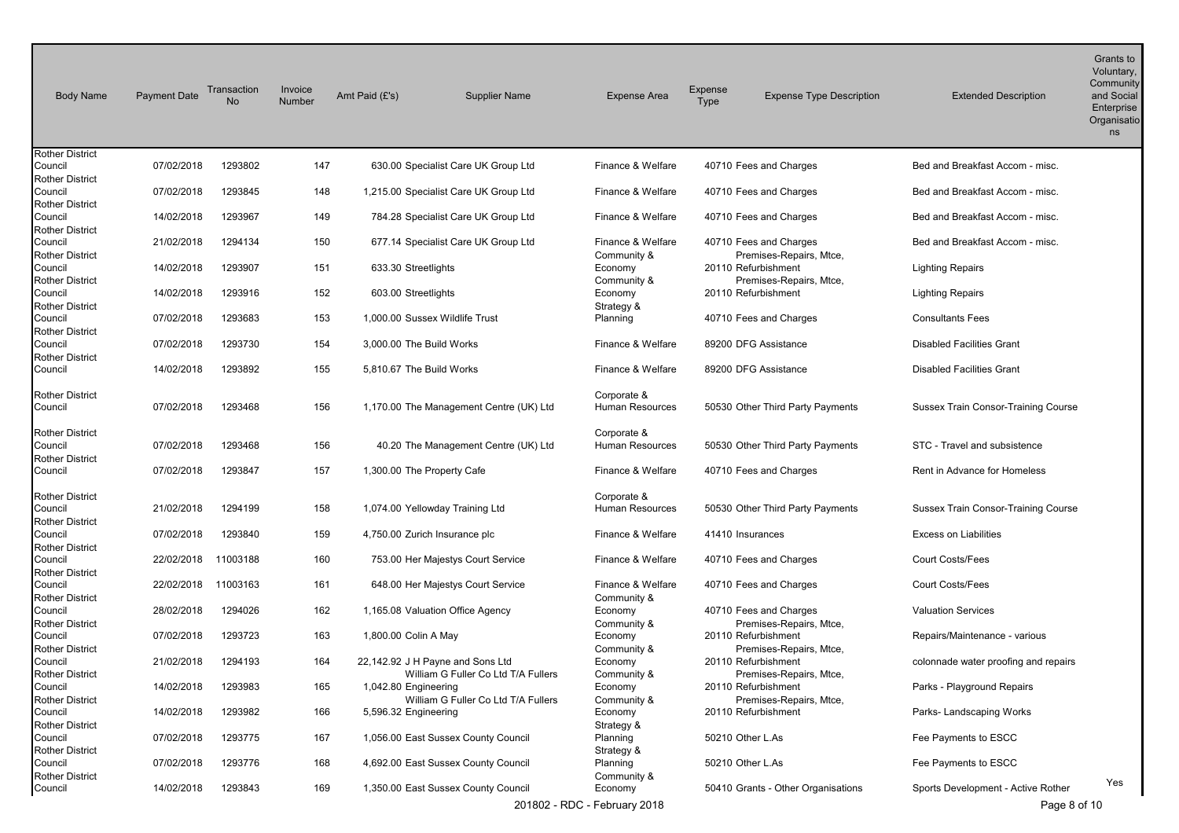| <b>Body Name</b>                                            | <b>Payment Date</b> | Transaction<br>No | Invoice<br>Number | Amt Paid (£'s)       | <b>Supplier Name</b>                    | <b>Expense Area</b>            | Expense<br><b>Type</b> | <b>Expense Type Description</b>                | <b>Extended Description</b>          | Grants to<br>Voluntary,<br>Community<br>and Social<br>Enterprise<br>Organisatio<br>ns |
|-------------------------------------------------------------|---------------------|-------------------|-------------------|----------------------|-----------------------------------------|--------------------------------|------------------------|------------------------------------------------|--------------------------------------|---------------------------------------------------------------------------------------|
| <b>Rother District</b><br>Council                           | 07/02/2018          | 1293802           | 147               |                      | 630.00 Specialist Care UK Group Ltd     | Finance & Welfare              |                        | 40710 Fees and Charges                         | Bed and Breakfast Accom - misc.      |                                                                                       |
| <b>Rother District</b>                                      |                     |                   |                   |                      |                                         |                                |                        |                                                |                                      |                                                                                       |
| Council<br><b>Rother District</b>                           | 07/02/2018          | 1293845           | 148               |                      | 1,215.00 Specialist Care UK Group Ltd   | Finance & Welfare              |                        | 40710 Fees and Charges                         | Bed and Breakfast Accom - misc.      |                                                                                       |
| Council                                                     | 14/02/2018          | 1293967           | 149               |                      | 784.28 Specialist Care UK Group Ltd     | Finance & Welfare              |                        | 40710 Fees and Charges                         | Bed and Breakfast Accom - misc.      |                                                                                       |
| Rother District<br>Council                                  | 21/02/2018          | 1294134           | 150               |                      | 677.14 Specialist Care UK Group Ltd     | Finance & Welfare              |                        | 40710 Fees and Charges                         | Bed and Breakfast Accom - misc.      |                                                                                       |
| Rother District<br>Council                                  | 14/02/2018          | 1293907           | 151               | 633.30 Streetlights  |                                         | Community &<br>Economy         |                        | Premises-Repairs, Mtce,<br>20110 Refurbishment | Lighting Repairs                     |                                                                                       |
| <b>Rother District</b><br>Council                           | 14/02/2018          | 1293916           | 152               | 603.00 Streetlights  |                                         | Community &<br>Economy         |                        | Premises-Repairs, Mtce,<br>20110 Refurbishment | <b>Lighting Repairs</b>              |                                                                                       |
| <b>Rother District</b>                                      |                     |                   |                   |                      |                                         | Strategy &                     |                        |                                                |                                      |                                                                                       |
| Council<br><b>Rother District</b>                           | 07/02/2018          | 1293683           | 153               |                      | 1,000.00 Sussex Wildlife Trust          | Planning                       |                        | 40710 Fees and Charges                         | <b>Consultants Fees</b>              |                                                                                       |
| Council                                                     | 07/02/2018          | 1293730           | 154               |                      | 3,000.00 The Build Works                | Finance & Welfare              |                        | 89200 DFG Assistance                           | <b>Disabled Facilities Grant</b>     |                                                                                       |
| <b>Rother District</b><br>Council                           | 14/02/2018          | 1293892           | 155               |                      | 5,810.67 The Build Works                | Finance & Welfare              |                        | 89200 DFG Assistance                           | <b>Disabled Facilities Grant</b>     |                                                                                       |
| <b>Rother District</b><br>Council                           | 07/02/2018          | 1293468           | 156               |                      | 1,170.00 The Management Centre (UK) Ltd | Corporate &<br>Human Resources |                        | 50530 Other Third Party Payments               | Sussex Train Consor-Training Course  |                                                                                       |
| Rother District<br>Council<br><b>Rother District</b>        | 07/02/2018          | 1293468           | 156               |                      | 40.20 The Management Centre (UK) Ltd    | Corporate &<br>Human Resources |                        | 50530 Other Third Party Payments               | STC - Travel and subsistence         |                                                                                       |
| Council                                                     | 07/02/2018          | 1293847           | 157               |                      | 1,300.00 The Property Cafe              | Finance & Welfare              |                        | 40710 Fees and Charges                         | Rent in Advance for Homeless         |                                                                                       |
| <b>Rother District</b><br>Council<br><b>Rother District</b> | 21/02/2018          | 1294199           | 158               |                      | 1,074.00 Yellowday Training Ltd         | Corporate &<br>Human Resources |                        | 50530 Other Third Party Payments               | Sussex Train Consor-Training Course  |                                                                                       |
| Council<br><b>Rother District</b>                           | 07/02/2018          | 1293840           | 159               |                      | 4,750.00 Zurich Insurance plc           | Finance & Welfare              | 41410 Insurances       |                                                | <b>Excess on Liabilities</b>         |                                                                                       |
| Council                                                     | 22/02/2018          | 11003188          | 160               |                      | 753.00 Her Majestys Court Service       | Finance & Welfare              |                        | 40710 Fees and Charges                         | Court Costs/Fees                     |                                                                                       |
| <b>Rother District</b><br>Council                           | 22/02/2018          | 11003163          | 161               |                      | 648.00 Her Majestys Court Service       | Finance & Welfare              |                        | 40710 Fees and Charges                         | Court Costs/Fees                     |                                                                                       |
| <b>Rother District</b><br>Council                           | 28/02/2018          | 1294026           | 162               |                      | 1,165.08 Valuation Office Agency        | Community &<br>Economy         |                        | 40710 Fees and Charges                         | <b>Valuation Services</b>            |                                                                                       |
| <b>Rother District</b><br>Council<br><b>Rother District</b> | 07/02/2018          | 1293723           | 163               | 1,800.00 Colin A May |                                         | Community &<br>Economy         |                        | Premises-Repairs, Mtce,<br>20110 Refurbishment | Repairs/Maintenance - various        |                                                                                       |
| Council                                                     | 21/02/2018          | 1294193           | 164               |                      | 22,142.92 J H Payne and Sons Ltd        | Community &<br>Economy         |                        | Premises-Repairs, Mtce,<br>20110 Refurbishment | colonnade water proofing and repairs |                                                                                       |
| <b>Rother District</b><br>Council                           | 14/02/2018          | 1293983           | 165               | 1,042.80 Engineering | William G Fuller Co Ltd T/A Fullers     | Community &<br>Economy         |                        | Premises-Repairs, Mtce,<br>20110 Refurbishment | Parks - Playground Repairs           |                                                                                       |
| <b>Rother District</b><br>Council                           | 14/02/2018          | 1293982           | 166               | 5,596.32 Engineering | William G Fuller Co Ltd T/A Fullers     | Community &<br>Economy         |                        | Premises-Repairs, Mtce,<br>20110 Refurbishment | Parks- Landscaping Works             |                                                                                       |
| Rother District<br>Council                                  | 07/02/2018          | 1293775           | 167               |                      | 1,056.00 East Sussex County Council     | Strategy &<br>Planning         | 50210 Other L.As       |                                                | Fee Payments to ESCC                 |                                                                                       |
| Rother District<br>Council                                  | 07/02/2018          | 1293776           | 168               |                      | 4,692.00 East Sussex County Council     | Strategy &<br>Planning         | 50210 Other L.As       |                                                | Fee Payments to ESCC                 |                                                                                       |
| Rother District<br>Council                                  | 14/02/2018          | 1293843           | 169               |                      | 1,350.00 East Sussex County Council     | Community &<br>Economy         |                        | 50410 Grants - Other Organisations             | Sports Development - Active Rother   | Yes                                                                                   |
|                                                             |                     |                   |                   |                      |                                         | 201802 - RDC - February 2018   |                        |                                                | Page 8 of 10                         |                                                                                       |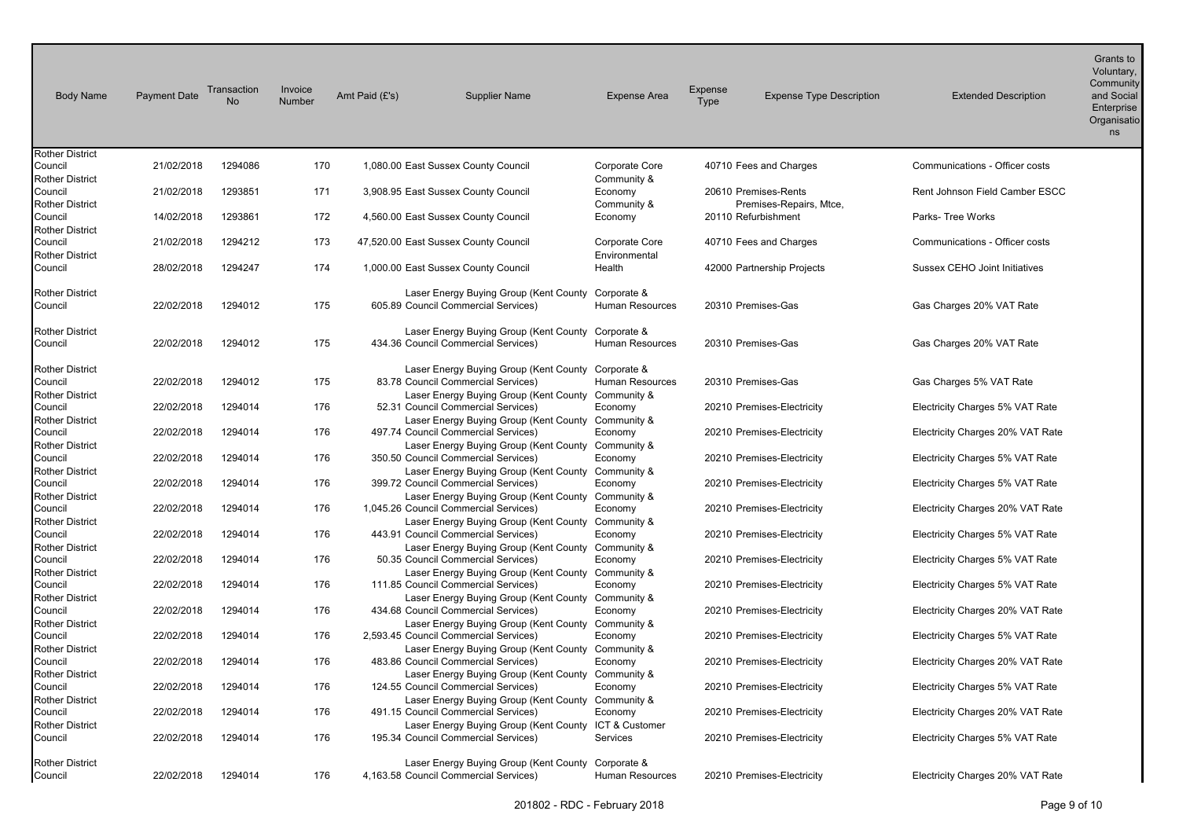| <b>Body Name</b>                                            | <b>Payment Date</b> | Transaction<br><b>No</b> | Invoice<br>Number | Amt Paid (£'s) | <b>Supplier Name</b>                                                                                                                              | <b>Expense Area</b>    | Expense<br><b>Type</b> | <b>Expense Type Description</b>                | <b>Extended Description</b>      | Grants to<br>Voluntary,<br>Community<br>and Social<br>Enterprise<br>Organisatio<br>ns |
|-------------------------------------------------------------|---------------------|--------------------------|-------------------|----------------|---------------------------------------------------------------------------------------------------------------------------------------------------|------------------------|------------------------|------------------------------------------------|----------------------------------|---------------------------------------------------------------------------------------|
| <b>Rother District</b><br>Council                           | 21/02/2018          | 1294086                  | 170               |                | 1,080.00 East Sussex County Council                                                                                                               | Corporate Core         |                        | 40710 Fees and Charges                         | Communications - Officer costs   |                                                                                       |
| <b>Rother District</b>                                      |                     |                          |                   |                |                                                                                                                                                   | Community &            |                        |                                                |                                  |                                                                                       |
| Council                                                     | 21/02/2018          | 1293851                  | 171               |                | 3,908.95 East Sussex County Council                                                                                                               | Economy                |                        | 20610 Premises-Rents                           | Rent Johnson Field Camber ESCC   |                                                                                       |
| <b>Rother District</b><br>Council                           | 14/02/2018          | 1293861                  | 172               |                | 4,560.00 East Sussex County Council                                                                                                               | Community &<br>Economy |                        | Premises-Repairs, Mtce,<br>20110 Refurbishment | Parks- Tree Works                |                                                                                       |
| <b>Rother District</b>                                      |                     |                          |                   |                |                                                                                                                                                   |                        |                        |                                                |                                  |                                                                                       |
| Council                                                     | 21/02/2018          | 1294212                  | 173               |                | 47,520.00 East Sussex County Council                                                                                                              | Corporate Core         |                        | 40710 Fees and Charges                         | Communications - Officer costs   |                                                                                       |
| <b>Rother District</b>                                      |                     |                          |                   |                |                                                                                                                                                   | Environmental          |                        |                                                |                                  |                                                                                       |
| Council                                                     | 28/02/2018          | 1294247                  | 174               |                | 1,000.00 East Sussex County Council                                                                                                               | Health                 |                        | 42000 Partnership Projects                     | Sussex CEHO Joint Initiatives    |                                                                                       |
| <b>Rother District</b>                                      |                     |                          |                   |                | Laser Energy Buying Group (Kent County Corporate &                                                                                                |                        |                        |                                                |                                  |                                                                                       |
| Council                                                     | 22/02/2018          | 1294012                  | 175               |                | 605.89 Council Commercial Services)                                                                                                               | Human Resources        |                        | 20310 Premises-Gas                             | Gas Charges 20% VAT Rate         |                                                                                       |
| <b>Rother District</b><br>Council                           | 22/02/2018          | 1294012                  | 175               |                | Laser Energy Buying Group (Kent County Corporate &<br>434.36 Council Commercial Services)                                                         | <b>Human Resources</b> |                        | 20310 Premises-Gas                             | Gas Charges 20% VAT Rate         |                                                                                       |
| <b>Rother District</b><br>Council<br><b>Rother District</b> | 22/02/2018          | 1294012                  | 175               |                | Laser Energy Buying Group (Kent County Corporate &<br>83.78 Council Commercial Services)<br>Laser Energy Buying Group (Kent County Community &    | Human Resources        |                        | 20310 Premises-Gas                             | Gas Charges 5% VAT Rate          |                                                                                       |
| Council                                                     | 22/02/2018          | 1294014                  | 176               |                | 52.31 Council Commercial Services)                                                                                                                | Economy                |                        | 20210 Premises-Electricity                     | Electricity Charges 5% VAT Rate  |                                                                                       |
| <b>Rother District</b><br>Council                           | 22/02/2018          | 1294014                  | 176               |                | Laser Energy Buying Group (Kent County Community &<br>497.74 Council Commercial Services)                                                         | Economy                |                        | 20210 Premises-Electricity                     | Electricity Charges 20% VAT Rate |                                                                                       |
| <b>Rother District</b><br>Council<br><b>Rother District</b> | 22/02/2018          | 1294014                  | 176               |                | Laser Energy Buying Group (Kent County Community &<br>350.50 Council Commercial Services)<br>Laser Energy Buying Group (Kent County Community &   | Economy                |                        | 20210 Premises-Electricity                     | Electricity Charges 5% VAT Rate  |                                                                                       |
| Council                                                     | 22/02/2018          | 1294014                  | 176               |                | 399.72 Council Commercial Services)                                                                                                               | Economy                |                        | 20210 Premises-Electricity                     | Electricity Charges 5% VAT Rate  |                                                                                       |
| <b>Rother District</b><br>Council<br><b>Rother District</b> | 22/02/2018          | 1294014                  | 176               |                | Laser Energy Buying Group (Kent County Community &<br>1,045.26 Council Commercial Services)<br>Laser Energy Buying Group (Kent County Community & | Economy                |                        | 20210 Premises-Electricity                     | Electricity Charges 20% VAT Rate |                                                                                       |
| Council<br><b>Rother District</b>                           | 22/02/2018          | 1294014                  | 176               |                | 443.91 Council Commercial Services)<br>Laser Energy Buying Group (Kent County Community &                                                         | Economy                |                        | 20210 Premises-Electricity                     | Electricity Charges 5% VAT Rate  |                                                                                       |
| Council                                                     | 22/02/2018          | 1294014                  | 176               |                | 50.35 Council Commercial Services)                                                                                                                | Economy                |                        | 20210 Premises-Electricity                     | Electricity Charges 5% VAT Rate  |                                                                                       |
| <b>Rother District</b><br>Council<br><b>Rother District</b> | 22/02/2018          | 1294014                  | 176               |                | Laser Energy Buying Group (Kent County<br>111.85 Council Commercial Services)<br>Laser Energy Buying Group (Kent County Community &               | Community &<br>Economy |                        | 20210 Premises-Electricity                     | Electricity Charges 5% VAT Rate  |                                                                                       |
| Council<br><b>Rother District</b>                           | 22/02/2018          | 1294014                  | 176               |                | 434.68 Council Commercial Services)<br>Laser Energy Buying Group (Kent County                                                                     | Economy<br>Community & |                        | 20210 Premises-Electricity                     | Electricity Charges 20% VAT Rate |                                                                                       |
| Council<br><b>Rother District</b>                           | 22/02/2018          | 1294014                  | 176               |                | 2,593.45 Council Commercial Services)<br>Laser Energy Buying Group (Kent County                                                                   | Economy<br>Community & |                        | 20210 Premises-Electricity                     | Electricity Charges 5% VAT Rate  |                                                                                       |
| Council                                                     | 22/02/2018          | 1294014                  | 176               |                | 483.86 Council Commercial Services)                                                                                                               | Economy                |                        | 20210 Premises-Electricity                     | Electricity Charges 20% VAT Rate |                                                                                       |
| <b>Rother District</b><br>Council<br><b>Rother District</b> | 22/02/2018          | 1294014                  | 176               |                | Laser Energy Buying Group (Kent County Community &<br>124.55 Council Commercial Services)<br>Laser Energy Buying Group (Kent County               | Economy<br>Community & |                        | 20210 Premises-Electricity                     | Electricity Charges 5% VAT Rate  |                                                                                       |
| Council                                                     | 22/02/2018          | 1294014                  | 176               |                | 491.15 Council Commercial Services)                                                                                                               | Economy                |                        | 20210 Premises-Electricity                     | Electricity Charges 20% VAT Rate |                                                                                       |
| <b>Rother District</b><br>Council                           | 22/02/2018          | 1294014                  | 176               |                | Laser Energy Buying Group (Kent County ICT & Customer<br>195.34 Council Commercial Services)                                                      | Services               |                        | 20210 Premises-Electricity                     | Electricity Charges 5% VAT Rate  |                                                                                       |
| <b>Rother District</b><br>Council                           | 22/02/2018          | 1294014                  | 176               |                | Laser Energy Buying Group (Kent County Corporate &<br>4,163.58 Council Commercial Services)                                                       | Human Resources        |                        | 20210 Premises-Electricity                     | Electricity Charges 20% VAT Rate |                                                                                       |